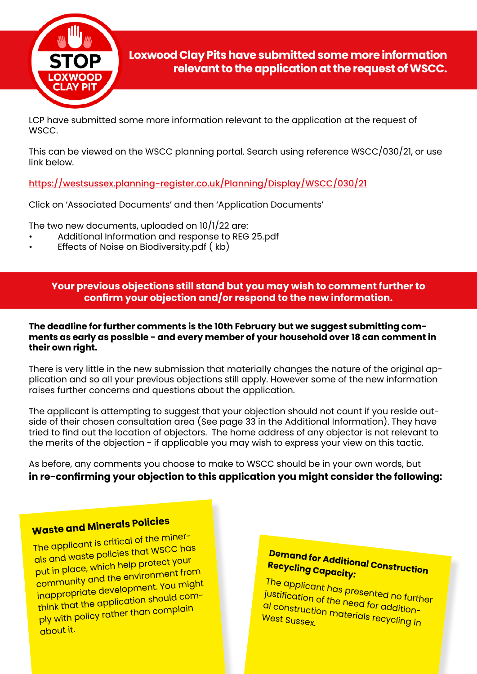

LCP have submitted some more information relevant to the application at the request of WSCC.

This can be viewed on the WSCC planning portal. Search using reference WSCC/030/21, or use link below.

<https://westsussex.planning-register.co.uk/Planning/Display/WSCC/030/21>

Click on 'Associated Documents' and then 'Application Documents'

The two new documents, uploaded on 10/1/22 are:

- Additional Information and response to REG 25.pdf
- Effects of Noise on Biodiversity.pdf ( kb)

**Your previous objections still stand but you may wish to comment further to confirm your objection and/or respond to the new information.**

#### **The deadline for further comments is the 10th February but we suggest submitting comments as early as possible - and every member of your household over 18 can comment in their own right.**

There is very little in the new submission that materially changes the nature of the original application and so all your previous objections still apply. However some of the new information raises further concerns and questions about the application.

The applicant is attempting to suggest that your objection should not count if you reside outside of their chosen consultation area (See page 33 in the Additional Information). They have tried to find out the location of objectors. The home address of any objector is not relevant to the merits of the objection - if applicable you may wish to express your view on this tactic.

As before, any comments you choose to make to WSCC should be in your own words, but **in re-confirming your objection to this application you might consider the following:**

# **Waste and Minerals Policies**

The applicant is critical of the minerals and waste policies that WSCC has put in place, which help protect your community and the environment from inappropriate development. You might think that the application should comply with policy rather than complain about it.

# **Demand for Additional Construction Recycling Capacity:**

The applicant has presented no further justification of the need for additional construction materials recycling in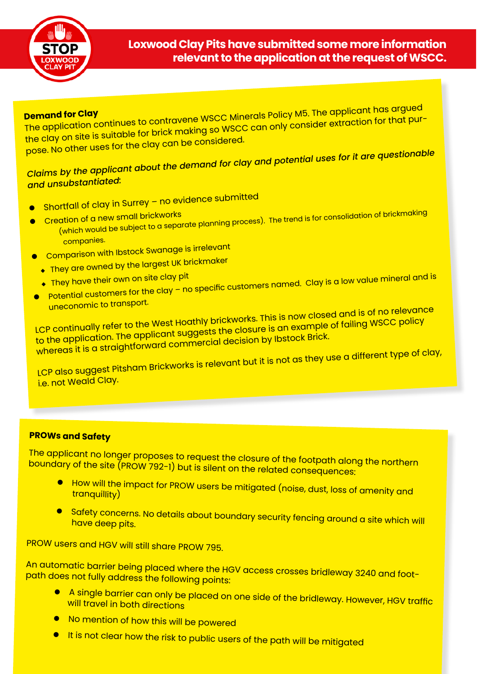

### **Loxwood Clay Pits have submitted some more information relevant to the application at the request of WSCC.**

**Demand for Clay** The application continues to contravene WSCC Minerals Policy M5. The applicant has argue<sup>d</sup> the clay on site is suitable for brick making so WSCC can only consider extraction for that purpose. No other uses for the clay can be considered.

# *Claims by the applicant about the demand for clay and potential uses for it are questionable and unsubstantiated:*

- $\bullet$  Shortfall of clay in Surrey no evidence submitted
- **Creation of a new small brickworks**
- (which would be subject to a separate planning process). The trend is for consolidation of brickmaking companies.
	- **Comparison with Ibstock Swanage is irrelevant**
- $\;\;\blacklozenge\;$  They are owned by the largest UK brickmaker
	- $\overline{\bullet}$  They have their own on site clay pit
- 
- **o** Potential customers for the clay no specific customers named. Clay is a low value mineral and is uneconomic to transport.

LCP continually refer to the West Hoathly brickworks. This is now closed and is of no relevance to the application. The applicant suggests the closure is an example of failing WSCC policy whereas it is a straightforward commercial decision by Ibstock Brick.

LCP also suggest Pitsham Brickworks is relevant but it is not as they use a different type of clay, i.e. not Weald Clay.

### **PROWs and Safety**

The applicant no longer proposes to request the closure of the footpath along the northern boundary of the site (PROW 792-1) but is silent on the related consequences:

- $\bullet$  How will the impact for PROW users be mitigated (noise, dust, loss of amenity and tranquillity)
- **e** Safety concerns. No details about boundary security fencing around a site which will have deep pits.

PROW users and HGV will still share PROW 795.

An automatic barrier being placed where the HGV access crosses bridleway 3240 and foot path does not fully address the following points:

- **A** single barrier can only be placed on one side of the bridleway. However, HGV traffic will travel in both directions
- **.** No mention of how this will be powered
- **I** It is not clear how the risk to public users of the path will be mitigated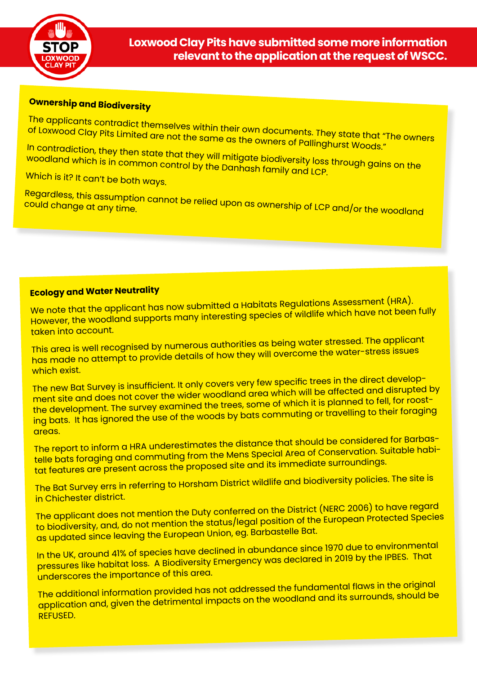

# **Ownership and Biodiversity**

The applicants contradict themselves within their own documents. They state that "The owners of Loxwood Clay Pits Limited are not the same as the owners of Pallinghurst Woods."

In contradiction, they then state that they will mitigate biodiversity loss through gains on the woodland which is in common control by the Danhash family and LCP.

Which is it? It can't be both ways.

Regardless, this assumption cannot be relied upon as ownership of LCP and/or the woodland<br><sup>could</sup> change at any time.

## **Ecology and Water Neutrality**

We note that the applicant has now submitted a Habitats Regulations Assessment (HRA). However, the woodland supports many interesting species of wildlife which have not been fully taken into account.

This area is well recognised by numerous authorities as being water stressed. The applicant has made no attempt to provide details of how they will overcome the water-stress issues which exist.

The new Bat Survey is insufficient. It only covers very few specific trees in the direct development site and does not cover the wider woodland area which will be affected and disrupted by the development. The survey examined the trees, some of which it is planned to fell, for roosting bats. It has ignored the use of the woods by bats commuting or travelling to their foraging areas.

The report to inform a HRA underestimates the distance that should be considered for Barbastelle bats foraging and commuting from the Mens Special Area of Conservation. Suitable habitat features are present across the proposed site and its immediate surroundings.

The Bat Survey errs in referring to Horsham District wildlife and biodiversity policies. The site is in Chichester district.

The applicant does not mention the Duty conferred on the District (NERC 2006) to have regard to biodiversity, and, do not mention the status/legal position of the European Protected Species as updated since leaving the European Union, eg. Barbastelle Bat.

In the UK, around 41% of species have declined in abundance since 1970 due to environmental pressures like habitat loss. A Biodiversity Emergency was declared in 2019 by the IPBES. That underscores the importance of this area.

The additional information provided has not addressed the fundamental flaws in the original application and, given the detrimental impacts on the woodland and its surrounds, should be REFUSED.